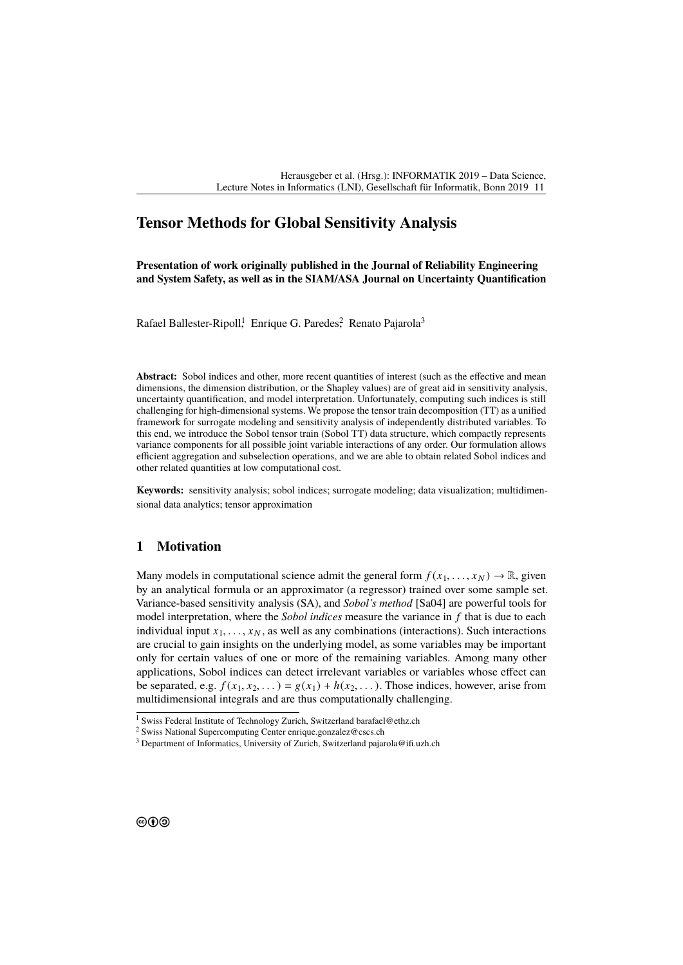# **Tensor Methods for Global Sensitivity Analysis**

**Presentation of work originally published in the Journal of Reliability Engineering and System Safety, as well as in the SIAM/ASA Journal on Uncertainty Quantification**

Rafael Ballester-Ripoll<sup>1</sup>, Enrique G. Paredes<sup>2</sup>, Renato Pajarola<sup>3</sup>

**Abstract:** Sobol indices and other, more recent quantities of interest (such as the effective and mean dimensions, the dimension distribution, or the Shapley values) are of great aid in sensitivity analysis, uncertainty quantification, and model interpretation. Unfortunately, computing such indices is still challenging for high-dimensional systems. We propose the tensor train decomposition (TT) as a unified framework for surrogate modeling and sensitivity analysis of independently distributed variables. To this end, we introduce the Sobol tensor train (Sobol TT) data structure, which compactly represents variance components for all possible joint variable interactions of any order. Our formulation allows efficient aggregation and subselection operations, and we are able to obtain related Sobol indices and other related quantities at low computational cost.

**Keywords:** sensitivity analysis; sobol indices; surrogate modeling; data visualization; multidimensional data analytics; tensor approximation

## **1 Motivation**

Many models in computational science admit the general form  $f(x_1, \ldots, x_N) \to \mathbb{R}$ , given by an analytical formula or an approximator (a regressor) trained over some sample set. Variance-based sensitivity analysis (SA), and *Sobol's method* [\[Sa04\]](#page-1-0) are powerful tools for model interpretation, where the *Sobol indices* measure the variance in *f* that is due to each individual input  $x_1, \ldots, x_N$ , as well as any combinations (interactions). Such interactions are crucial to gain insights on the underlying model, as some variables may be important only for certain values of one or more of the remaining variables. Among many other applications, Sobol indices can detect irrelevant variables or variables whose effect can be separated, e.g.  $f(x_1, x_2, \ldots) = g(x_1) + h(x_2, \ldots)$ . Those indices, however, arise from multidimensional integrals and are thus computationally challenging.

 $\frac{1}{1}$  Swiss Federal Institute of Technology Zurich, Switzerland <barafael@ethz.ch>

<sup>2</sup> Swiss National Supercomputing Center <enrique.gonzalez@cscs.ch>

<sup>3</sup> Department of Informatics, University of Zurich, Switzerland <pajarola@ifi.uzh.ch>